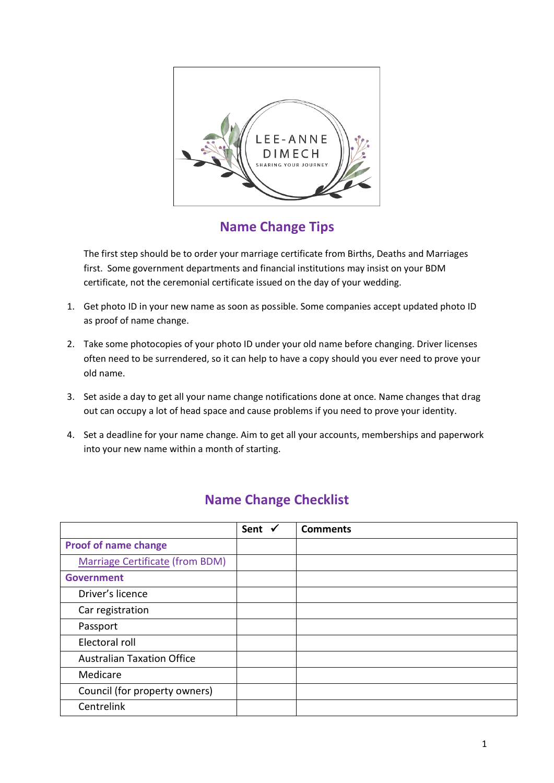

**Name Change Tips**

The first step should be to order your marriage certificate from Births, Deaths and Marriages first. Some government departments and financial institutions may insist on your BDM certificate, not the ceremonial certificate issued on the day of your wedding.

- 1. Get photo ID in your new name as soon as possible. Some companies accept updated photo ID as proof of name change.
- 2. Take some photocopies of your photo ID under your old name before changing. Driver licenses often need to be surrendered, so it can help to have a copy should you ever need to prove your old name.
- 3. Set aside a day to get all your name change notifications done at once. Name changes that drag out can occupy a lot of head space and cause problems if you need to prove your identity.
- 4. Set a deadline for your name change. Aim to get all your accounts, memberships and paperwork into your new name within a month of starting.

|                                        | Sent $\checkmark$ | <b>Comments</b> |
|----------------------------------------|-------------------|-----------------|
| <b>Proof of name change</b>            |                   |                 |
| <b>Marriage Certificate (from BDM)</b> |                   |                 |
| <b>Government</b>                      |                   |                 |
| Driver's licence                       |                   |                 |
| Car registration                       |                   |                 |
| Passport                               |                   |                 |
| Electoral roll                         |                   |                 |
| <b>Australian Taxation Office</b>      |                   |                 |
| Medicare                               |                   |                 |
| Council (for property owners)          |                   |                 |
| Centrelink                             |                   |                 |

## **Name Change Checklist**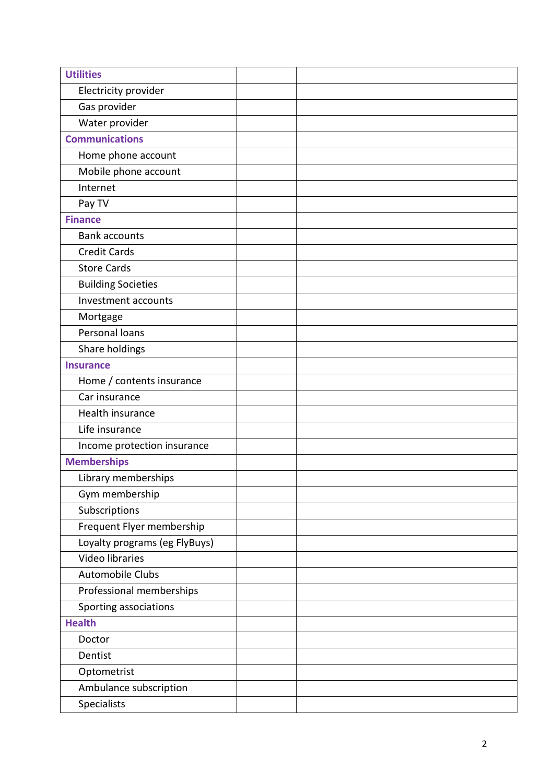| <b>Utilities</b>              |  |
|-------------------------------|--|
| Electricity provider          |  |
| Gas provider                  |  |
| Water provider                |  |
| <b>Communications</b>         |  |
| Home phone account            |  |
| Mobile phone account          |  |
| Internet                      |  |
| Pay TV                        |  |
| <b>Finance</b>                |  |
| <b>Bank accounts</b>          |  |
| <b>Credit Cards</b>           |  |
| <b>Store Cards</b>            |  |
| <b>Building Societies</b>     |  |
| Investment accounts           |  |
| Mortgage                      |  |
| Personal loans                |  |
| Share holdings                |  |
| <b>Insurance</b>              |  |
| Home / contents insurance     |  |
| Car insurance                 |  |
| Health insurance              |  |
| Life insurance                |  |
| Income protection insurance   |  |
| <b>Memberships</b>            |  |
| Library memberships           |  |
| Gym membership                |  |
| Subscriptions                 |  |
| Frequent Flyer membership     |  |
| Loyalty programs (eg FlyBuys) |  |
| <b>Video libraries</b>        |  |
| <b>Automobile Clubs</b>       |  |
| Professional memberships      |  |
| Sporting associations         |  |
| <b>Health</b>                 |  |
| Doctor                        |  |
| Dentist                       |  |
| Optometrist                   |  |
| Ambulance subscription        |  |
| Specialists                   |  |